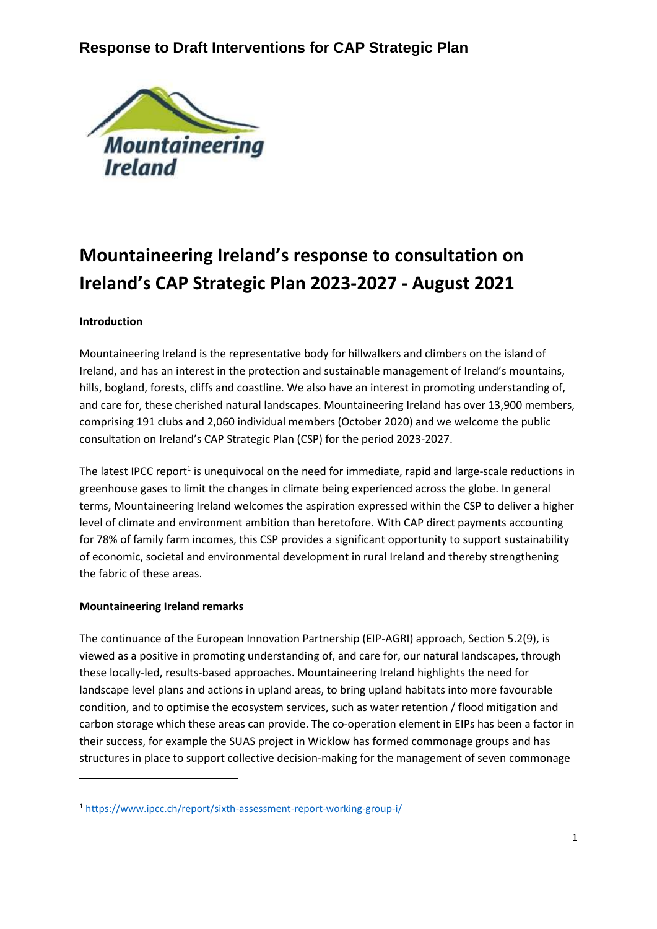

# **Mountaineering Ireland's response to consultation on Ireland's CAP Strategic Plan 2023-2027 - August 2021**

### **Introduction**

Mountaineering Ireland is the representative body for hillwalkers and climbers on the island of Ireland, and has an interest in the protection and sustainable management of Ireland's mountains, hills, bogland, forests, cliffs and coastline. We also have an interest in promoting understanding of, and care for, these cherished natural landscapes. Mountaineering Ireland has over 13,900 members, comprising 191 clubs and 2,060 individual members (October 2020) and we welcome the public consultation on Ireland's CAP Strategic Plan (CSP) for the period 2023-2027.

The latest IPCC report<sup>1</sup> is unequivocal on the need for immediate, rapid and large-scale reductions in greenhouse gases to limit the changes in climate being experienced across the globe. In general terms, Mountaineering Ireland welcomes the aspiration expressed within the CSP to deliver a higher level of climate and environment ambition than heretofore. With CAP direct payments accounting for 78% of family farm incomes, this CSP provides a significant opportunity to support sustainability of economic, societal and environmental development in rural Ireland and thereby strengthening the fabric of these areas.

#### **Mountaineering Ireland remarks**

The continuance of the European Innovation Partnership (EIP-AGRI) approach, Section 5.2(9), is viewed as a positive in promoting understanding of, and care for, our natural landscapes, through these locally-led, results-based approaches. Mountaineering Ireland highlights the need for landscape level plans and actions in upland areas, to bring upland habitats into more favourable condition, and to optimise the ecosystem services, such as water retention / flood mitigation and carbon storage which these areas can provide. The co-operation element in EIPs has been a factor in their success, for example the SUAS project in Wicklow has formed commonage groups and has structures in place to support collective decision-making for the management of seven commonage

<sup>1</sup> <https://www.ipcc.ch/report/sixth-assessment-report-working-group-i/>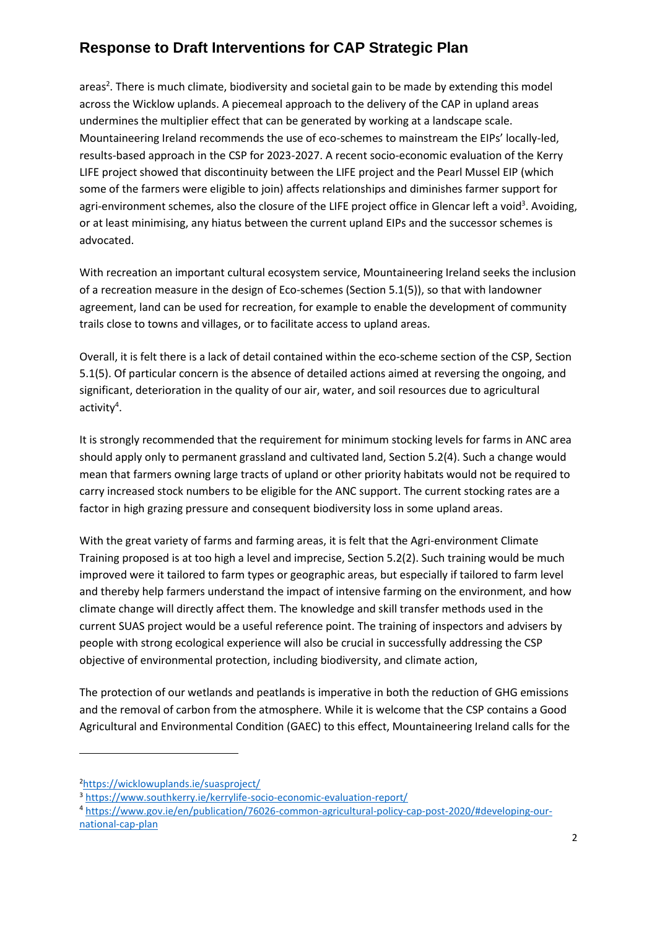## **Response to Draft Interventions for CAP Strategic Plan**

areas<sup>2</sup>. There is much climate, biodiversity and societal gain to be made by extending this model across the Wicklow uplands. A piecemeal approach to the delivery of the CAP in upland areas undermines the multiplier effect that can be generated by working at a landscape scale. Mountaineering Ireland recommends the use of eco-schemes to mainstream the EIPs' locally-led, results-based approach in the CSP for 2023-2027. A recent socio-economic evaluation of the Kerry LIFE project showed that discontinuity between the LIFE project and the Pearl Mussel EIP (which some of the farmers were eligible to join) affects relationships and diminishes farmer support for agri-environment schemes, also the closure of the LIFE project office in Glencar left a void<sup>3</sup>. Avoiding, or at least minimising, any hiatus between the current upland EIPs and the successor schemes is advocated.

With recreation an important cultural ecosystem service, Mountaineering Ireland seeks the inclusion of a recreation measure in the design of Eco-schemes (Section 5.1(5)), so that with landowner agreement, land can be used for recreation, for example to enable the development of community trails close to towns and villages, or to facilitate access to upland areas.

Overall, it is felt there is a lack of detail contained within the eco-scheme section of the CSP, Section 5.1(5). Of particular concern is the absence of detailed actions aimed at reversing the ongoing, and significant, deterioration in the quality of our air, water, and soil resources due to agricultural activity<sup>4</sup>.

It is strongly recommended that the requirement for minimum stocking levels for farms in ANC area should apply only to permanent grassland and cultivated land, Section 5.2(4). Such a change would mean that farmers owning large tracts of upland or other priority habitats would not be required to carry increased stock numbers to be eligible for the ANC support. The current stocking rates are a factor in high grazing pressure and consequent biodiversity loss in some upland areas.

With the great variety of farms and farming areas, it is felt that the Agri-environment Climate Training proposed is at too high a level and imprecise, Section 5.2(2). Such training would be much improved were it tailored to farm types or geographic areas, but especially if tailored to farm level and thereby help farmers understand the impact of intensive farming on the environment, and how climate change will directly affect them. The knowledge and skill transfer methods used in the current SUAS project would be a useful reference point. The training of inspectors and advisers by people with strong ecological experience will also be crucial in successfully addressing the CSP objective of environmental protection, including biodiversity, and climate action,

The protection of our wetlands and peatlands is imperative in both the reduction of GHG emissions and the removal of carbon from the atmosphere. While it is welcome that the CSP contains a Good Agricultural and Environmental Condition (GAEC) to this effect, Mountaineering Ireland calls for the

<sup>2</sup><https://wicklowuplands.ie/suasproject/>

<sup>3</sup> <https://www.southkerry.ie/kerrylife-socio-economic-evaluation-report/>

<sup>4</sup> [https://www.gov.ie/en/publication/76026-common-agricultural-policy-cap-post-2020/#developing-our](https://www.gov.ie/en/publication/76026-common-agricultural-policy-cap-post-2020/#developing-our-national-cap-plan)[national-cap-plan](https://www.gov.ie/en/publication/76026-common-agricultural-policy-cap-post-2020/#developing-our-national-cap-plan)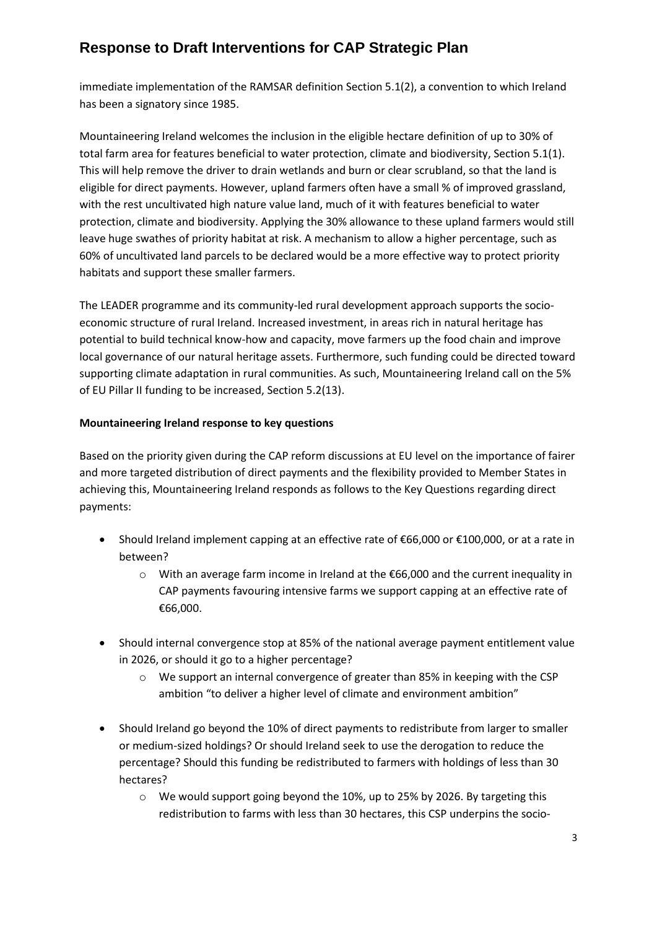### **Response to Draft Interventions for CAP Strategic Plan**

immediate implementation of the RAMSAR definition Section 5.1(2), a convention to which Ireland has been a signatory since 1985.

Mountaineering Ireland welcomes the inclusion in the eligible hectare definition of up to 30% of total farm area for features beneficial to water protection, climate and biodiversity, Section 5.1(1). This will help remove the driver to drain wetlands and burn or clear scrubland, so that the land is eligible for direct payments. However, upland farmers often have a small % of improved grassland, with the rest uncultivated high nature value land, much of it with features beneficial to water protection, climate and biodiversity. Applying the 30% allowance to these upland farmers would still leave huge swathes of priority habitat at risk. A mechanism to allow a higher percentage, such as 60% of uncultivated land parcels to be declared would be a more effective way to protect priority habitats and support these smaller farmers.

The LEADER programme and its community-led rural development approach supports the socioeconomic structure of rural Ireland. Increased investment, in areas rich in natural heritage has potential to build technical know-how and capacity, move farmers up the food chain and improve local governance of our natural heritage assets. Furthermore, such funding could be directed toward supporting climate adaptation in rural communities. As such, Mountaineering Ireland call on the 5% of EU Pillar II funding to be increased, Section 5.2(13).

### **Mountaineering Ireland response to key questions**

Based on the priority given during the CAP reform discussions at EU level on the importance of fairer and more targeted distribution of direct payments and the flexibility provided to Member States in achieving this, Mountaineering Ireland responds as follows to the Key Questions regarding direct payments:

- Should Ireland implement capping at an effective rate of €66,000 or €100,000, or at a rate in between?
	- o With an average farm income in Ireland at the €66,000 and the current inequality in CAP payments favouring intensive farms we support capping at an effective rate of €66,000.
- Should internal convergence stop at 85% of the national average payment entitlement value in 2026, or should it go to a higher percentage?
	- $\circ$  We support an internal convergence of greater than 85% in keeping with the CSP ambition "to deliver a higher level of climate and environment ambition"
- Should Ireland go beyond the 10% of direct payments to redistribute from larger to smaller or medium-sized holdings? Or should Ireland seek to use the derogation to reduce the percentage? Should this funding be redistributed to farmers with holdings of less than 30 hectares?
	- o We would support going beyond the 10%, up to 25% by 2026. By targeting this redistribution to farms with less than 30 hectares, this CSP underpins the socio-